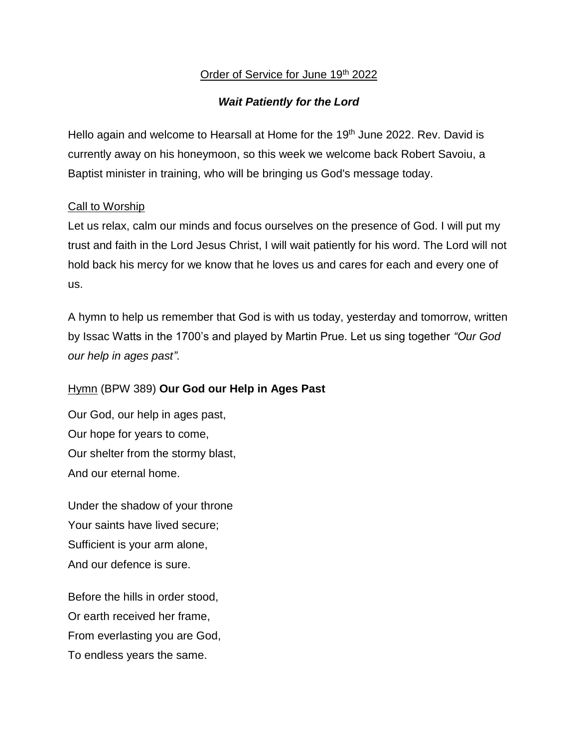## Order of Service for June 19<sup>th</sup> 2022

# *Wait Patiently for the Lord*

Hello again and welcome to Hearsall at Home for the 19<sup>th</sup> June 2022. Rev. David is currently away on his honeymoon, so this week we welcome back Robert Savoiu, a Baptist minister in training, who will be bringing us God's message today.

## Call to Worship

Let us relax, calm our minds and focus ourselves on the presence of God. I will put my trust and faith in the Lord Jesus Christ, I will wait patiently for his word. The Lord will not hold back his mercy for we know that he loves us and cares for each and every one of us.

A hymn to help us remember that God is with us today, yesterday and tomorrow, written by Issac Watts in the 1700's and played by Martin Prue. Let us sing together *"Our God our help in ages past".*

# Hymn (BPW 389) **Our God our Help in Ages Past**

Our God, our help in ages past, Our hope for years to come, Our shelter from the stormy blast, And our eternal home.

Under the shadow of your throne Your saints have lived secure; Sufficient is your arm alone, And our defence is sure.

Before the hills in order stood, Or earth received her frame, From everlasting you are God, To endless years the same.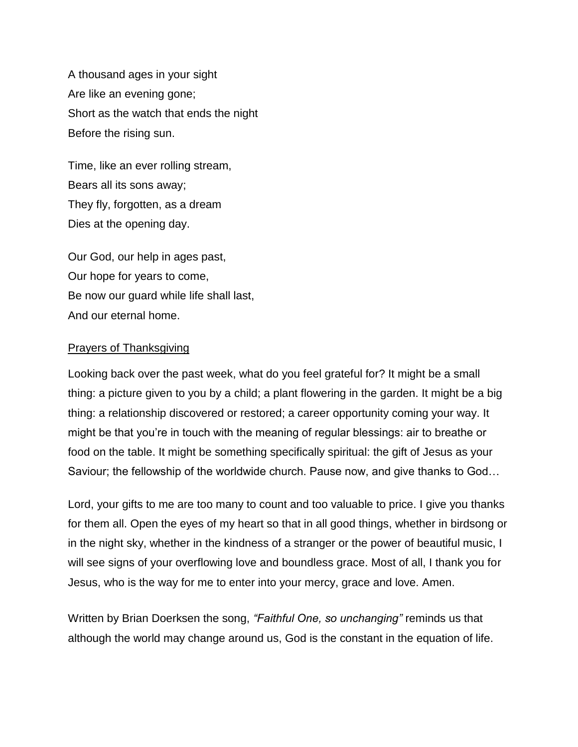A thousand ages in your sight Are like an evening gone; Short as the watch that ends the night Before the rising sun.

Time, like an ever rolling stream, Bears all its sons away; They fly, forgotten, as a dream Dies at the opening day.

Our God, our help in ages past, Our hope for years to come, Be now our guard while life shall last, And our eternal home.

#### Prayers of Thanksgiving

Looking back over the past week, what do you feel grateful for? It might be a small thing: a picture given to you by a child; a plant flowering in the garden. It might be a big thing: a relationship discovered or restored; a career opportunity coming your way. It might be that you're in touch with the meaning of regular blessings: air to breathe or food on the table. It might be something specifically spiritual: the gift of Jesus as your Saviour; the fellowship of the worldwide church. Pause now, and give thanks to God…

Lord, your gifts to me are too many to count and too valuable to price. I give you thanks for them all. Open the eyes of my heart so that in all good things, whether in birdsong or in the night sky, whether in the kindness of a stranger or the power of beautiful music, I will see signs of your overflowing love and boundless grace. Most of all, I thank you for Jesus, who is the way for me to enter into your mercy, grace and love. Amen.

Written by Brian Doerksen the song, *"Faithful One, so unchanging"* reminds us that although the world may change around us, God is the constant in the equation of life.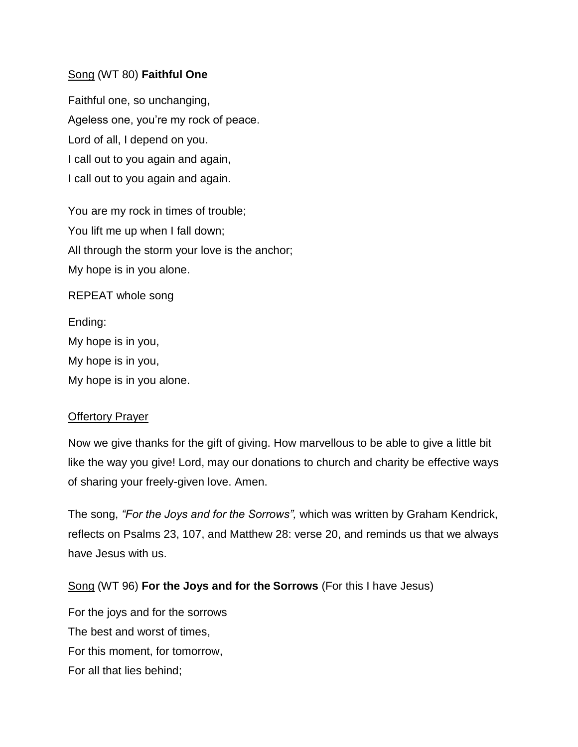## Song (WT 80) **Faithful One**

Faithful one, so unchanging, Ageless one, you're my rock of peace. Lord of all, I depend on you. I call out to you again and again, I call out to you again and again.

You are my rock in times of trouble; You lift me up when I fall down; All through the storm your love is the anchor; My hope is in you alone.

REPEAT whole song

Ending: My hope is in you, My hope is in you, My hope is in you alone.

### Offertory Prayer

Now we give thanks for the gift of giving. How marvellous to be able to give a little bit like the way you give! Lord, may our donations to church and charity be effective ways of sharing your freely-given love. Amen.

The song, *"For the Joys and for the Sorrows",* which was written by Graham Kendrick, reflects on Psalms 23, 107, and Matthew 28: verse 20, and reminds us that we always have Jesus with us.

Song (WT 96) **For the Joys and for the Sorrows** (For this I have Jesus)

For the joys and for the sorrows The best and worst of times, For this moment, for tomorrow, For all that lies behind;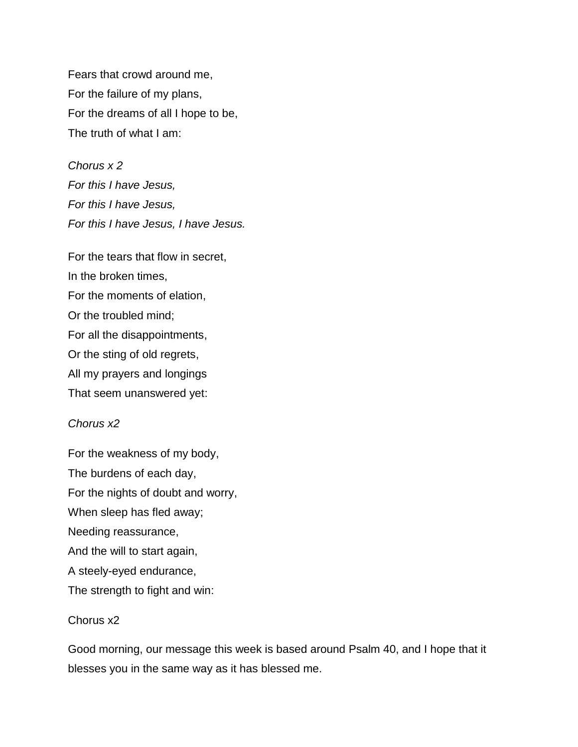Fears that crowd around me, For the failure of my plans, For the dreams of all I hope to be, The truth of what I am:

*Chorus x 2 For this I have Jesus, For this I have Jesus, For this I have Jesus, I have Jesus.*

For the tears that flow in secret, In the broken times, For the moments of elation, Or the troubled mind; For all the disappointments, Or the sting of old regrets, All my prayers and longings That seem unanswered yet:

#### *Chorus x2*

For the weakness of my body, The burdens of each day, For the nights of doubt and worry, When sleep has fled away; Needing reassurance, And the will to start again, A steely-eyed endurance, The strength to fight and win:

#### Chorus x2

Good morning, our message this week is based around Psalm 40, and I hope that it blesses you in the same way as it has blessed me.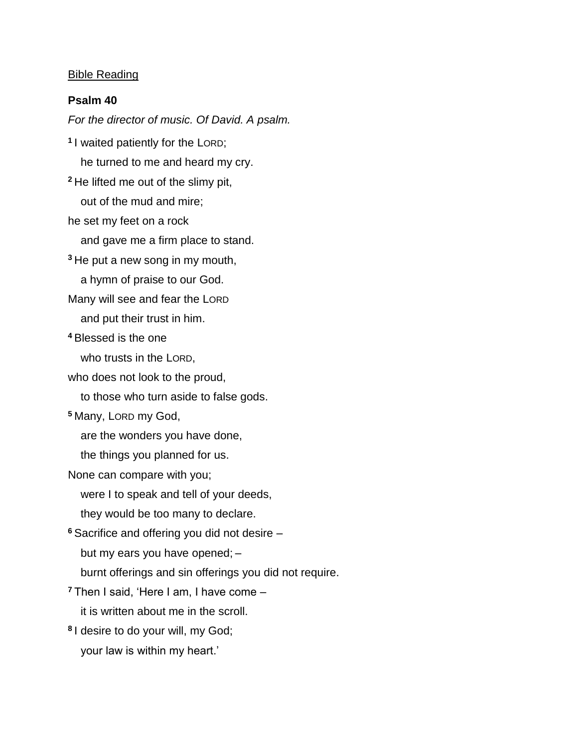### Bible Reading

#### **Psalm 40**

*For the director of music. Of David. A psalm.*

**1** I waited patiently for the LORD; he turned to me and heard my cry. **<sup>2</sup>** He lifted me out of the slimy pit, out of the mud and mire; he set my feet on a rock and gave me a firm place to stand. **<sup>3</sup>** He put a new song in my mouth, a hymn of praise to our God. Many will see and fear the LORD and put their trust in him. **<sup>4</sup>** Blessed is the one who trusts in the LORD, who does not look to the proud, to those who turn aside to false gods. **<sup>5</sup>** Many, LORD my God, are the wonders you have done, the things you planned for us. None can compare with you; were I to speak and tell of your deeds, they would be too many to declare. **<sup>6</sup>** Sacrifice and offering you did not desire – but my ears you have opened; – burnt offerings and sin offerings you did not require. **<sup>7</sup>** Then I said, 'Here I am, I have come – it is written about me in the scroll. **8** I desire to do your will, my God; your law is within my heart.'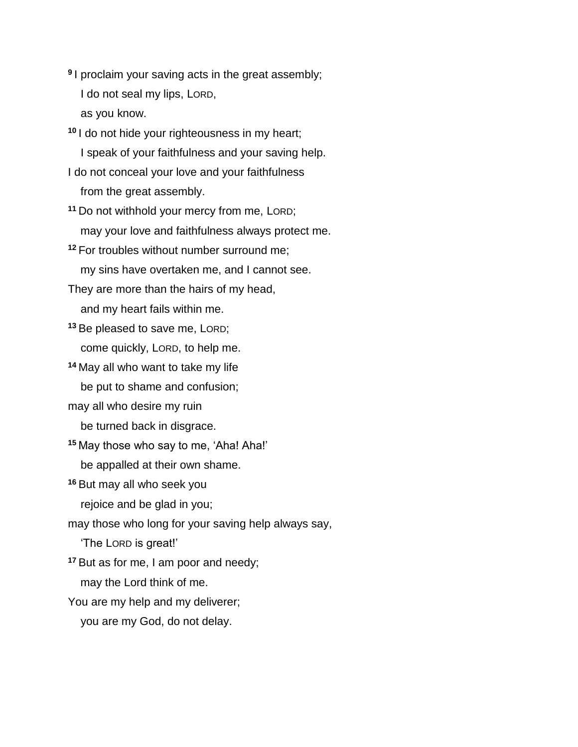- **9** I proclaim your saving acts in the great assembly; I do not seal my lips, LORD, as you know.
- **<sup>10</sup>** I do not hide your righteousness in my heart; I speak of your faithfulness and your saving help.
- I do not conceal your love and your faithfulness from the great assembly.
- **<sup>11</sup>** Do not withhold your mercy from me, LORD; may your love and faithfulness always protect me.
- **<sup>12</sup>** For troubles without number surround me; my sins have overtaken me, and I cannot see.
- They are more than the hairs of my head,

and my heart fails within me.

- **<sup>13</sup>** Be pleased to save me, LORD; come quickly, LORD, to help me.
- **<sup>14</sup>** May all who want to take my life
	- be put to shame and confusion;
- may all who desire my ruin

be turned back in disgrace.

**<sup>15</sup>** May those who say to me, 'Aha! Aha!'

be appalled at their own shame.

**<sup>16</sup>** But may all who seek you

- rejoice and be glad in you;
- may those who long for your saving help always say,

'The LORD is great!'

**<sup>17</sup>** But as for me, I am poor and needy;

may the Lord think of me.

- You are my help and my deliverer;
	- you are my God, do not delay.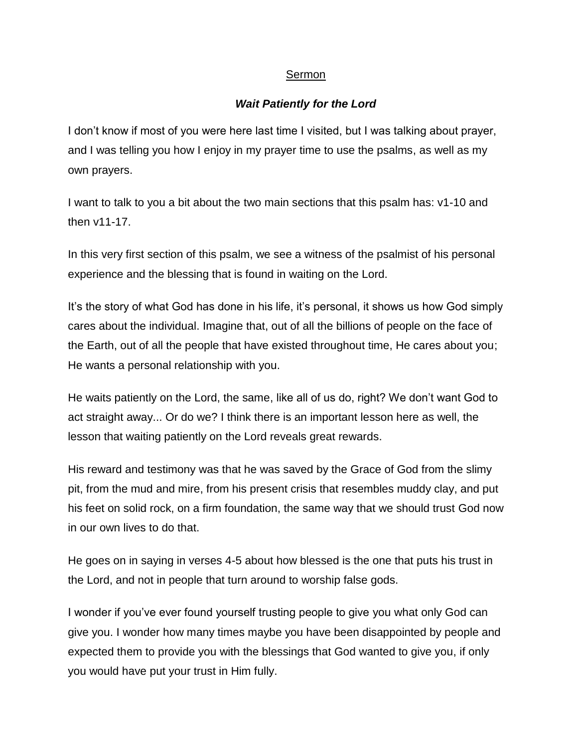### Sermon

# *Wait Patiently for the Lord*

I don't know if most of you were here last time I visited, but I was talking about prayer, and I was telling you how I enjoy in my prayer time to use the psalms, as well as my own prayers.

I want to talk to you a bit about the two main sections that this psalm has: v1-10 and then v11-17.

In this very first section of this psalm, we see a witness of the psalmist of his personal experience and the blessing that is found in waiting on the Lord.

It's the story of what God has done in his life, it's personal, it shows us how God simply cares about the individual. Imagine that, out of all the billions of people on the face of the Earth, out of all the people that have existed throughout time, He cares about you; He wants a personal relationship with you.

He waits patiently on the Lord, the same, like all of us do, right? We don't want God to act straight away... Or do we? I think there is an important lesson here as well, the lesson that waiting patiently on the Lord reveals great rewards.

His reward and testimony was that he was saved by the Grace of God from the slimy pit, from the mud and mire, from his present crisis that resembles muddy clay, and put his feet on solid rock, on a firm foundation, the same way that we should trust God now in our own lives to do that.

He goes on in saying in verses 4-5 about how blessed is the one that puts his trust in the Lord, and not in people that turn around to worship false gods.

I wonder if you've ever found yourself trusting people to give you what only God can give you. I wonder how many times maybe you have been disappointed by people and expected them to provide you with the blessings that God wanted to give you, if only you would have put your trust in Him fully.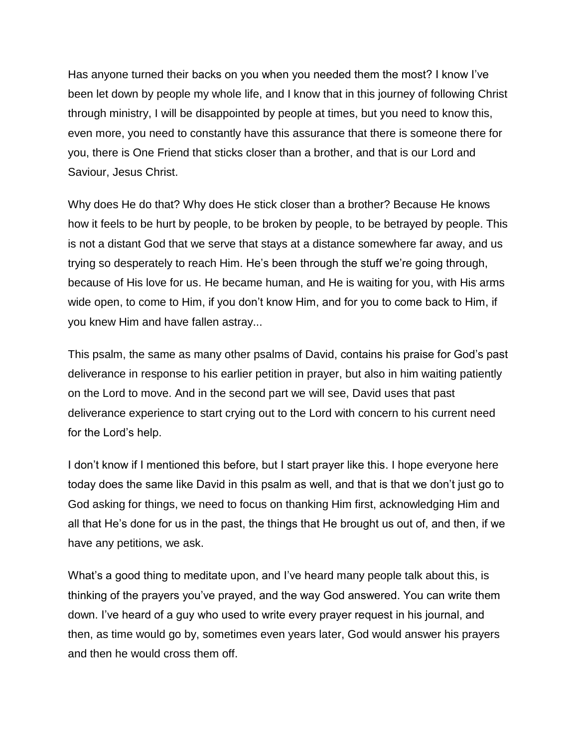Has anyone turned their backs on you when you needed them the most? I know I've been let down by people my whole life, and I know that in this journey of following Christ through ministry, I will be disappointed by people at times, but you need to know this, even more, you need to constantly have this assurance that there is someone there for you, there is One Friend that sticks closer than a brother, and that is our Lord and Saviour, Jesus Christ.

Why does He do that? Why does He stick closer than a brother? Because He knows how it feels to be hurt by people, to be broken by people, to be betrayed by people. This is not a distant God that we serve that stays at a distance somewhere far away, and us trying so desperately to reach Him. He's been through the stuff we're going through, because of His love for us. He became human, and He is waiting for you, with His arms wide open, to come to Him, if you don't know Him, and for you to come back to Him, if you knew Him and have fallen astray...

This psalm, the same as many other psalms of David, contains his praise for God's past deliverance in response to his earlier petition in prayer, but also in him waiting patiently on the Lord to move. And in the second part we will see, David uses that past deliverance experience to start crying out to the Lord with concern to his current need for the Lord's help.

I don't know if I mentioned this before, but I start prayer like this. I hope everyone here today does the same like David in this psalm as well, and that is that we don't just go to God asking for things, we need to focus on thanking Him first, acknowledging Him and all that He's done for us in the past, the things that He brought us out of, and then, if we have any petitions, we ask.

What's a good thing to meditate upon, and I've heard many people talk about this, is thinking of the prayers you've prayed, and the way God answered. You can write them down. I've heard of a guy who used to write every prayer request in his journal, and then, as time would go by, sometimes even years later, God would answer his prayers and then he would cross them off.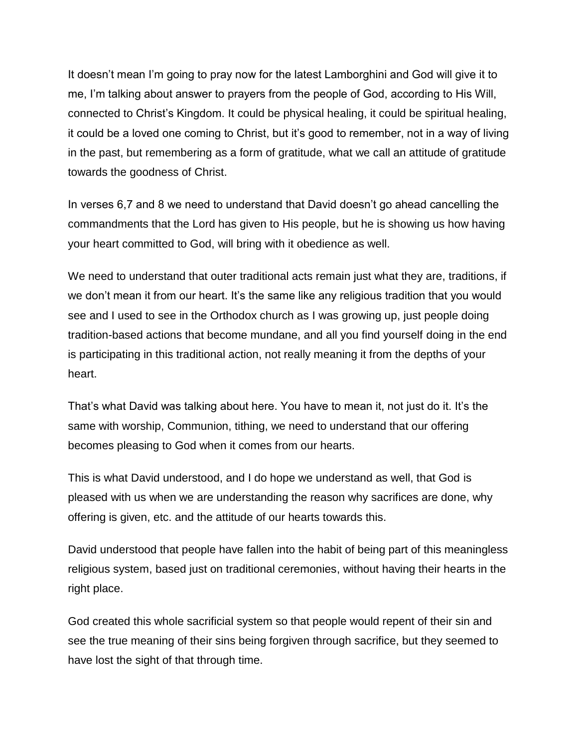It doesn't mean I'm going to pray now for the latest Lamborghini and God will give it to me, I'm talking about answer to prayers from the people of God, according to His Will, connected to Christ's Kingdom. It could be physical healing, it could be spiritual healing, it could be a loved one coming to Christ, but it's good to remember, not in a way of living in the past, but remembering as a form of gratitude, what we call an attitude of gratitude towards the goodness of Christ.

In verses 6,7 and 8 we need to understand that David doesn't go ahead cancelling the commandments that the Lord has given to His people, but he is showing us how having your heart committed to God, will bring with it obedience as well.

We need to understand that outer traditional acts remain just what they are, traditions, if we don't mean it from our heart. It's the same like any religious tradition that you would see and I used to see in the Orthodox church as I was growing up, just people doing tradition-based actions that become mundane, and all you find yourself doing in the end is participating in this traditional action, not really meaning it from the depths of your heart.

That's what David was talking about here. You have to mean it, not just do it. It's the same with worship, Communion, tithing, we need to understand that our offering becomes pleasing to God when it comes from our hearts.

This is what David understood, and I do hope we understand as well, that God is pleased with us when we are understanding the reason why sacrifices are done, why offering is given, etc. and the attitude of our hearts towards this.

David understood that people have fallen into the habit of being part of this meaningless religious system, based just on traditional ceremonies, without having their hearts in the right place.

God created this whole sacrificial system so that people would repent of their sin and see the true meaning of their sins being forgiven through sacrifice, but they seemed to have lost the sight of that through time.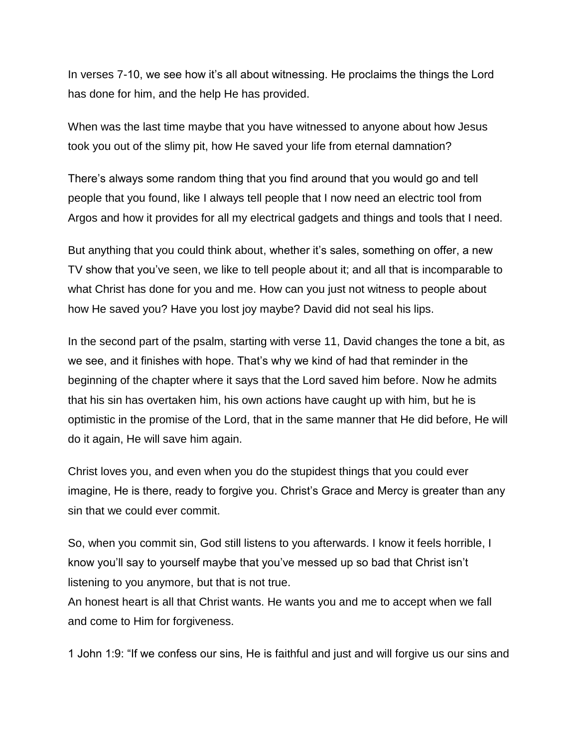In verses 7-10, we see how it's all about witnessing. He proclaims the things the Lord has done for him, and the help He has provided.

When was the last time maybe that you have witnessed to anyone about how Jesus took you out of the slimy pit, how He saved your life from eternal damnation?

There's always some random thing that you find around that you would go and tell people that you found, like I always tell people that I now need an electric tool from Argos and how it provides for all my electrical gadgets and things and tools that I need.

But anything that you could think about, whether it's sales, something on offer, a new TV show that you've seen, we like to tell people about it; and all that is incomparable to what Christ has done for you and me. How can you just not witness to people about how He saved you? Have you lost joy maybe? David did not seal his lips.

In the second part of the psalm, starting with verse 11, David changes the tone a bit, as we see, and it finishes with hope. That's why we kind of had that reminder in the beginning of the chapter where it says that the Lord saved him before. Now he admits that his sin has overtaken him, his own actions have caught up with him, but he is optimistic in the promise of the Lord, that in the same manner that He did before, He will do it again, He will save him again.

Christ loves you, and even when you do the stupidest things that you could ever imagine, He is there, ready to forgive you. Christ's Grace and Mercy is greater than any sin that we could ever commit.

So, when you commit sin, God still listens to you afterwards. I know it feels horrible, I know you'll say to yourself maybe that you've messed up so bad that Christ isn't listening to you anymore, but that is not true.

An honest heart is all that Christ wants. He wants you and me to accept when we fall and come to Him for forgiveness.

1 John 1:9: "If we confess our sins, He is faithful and just and will forgive us our sins and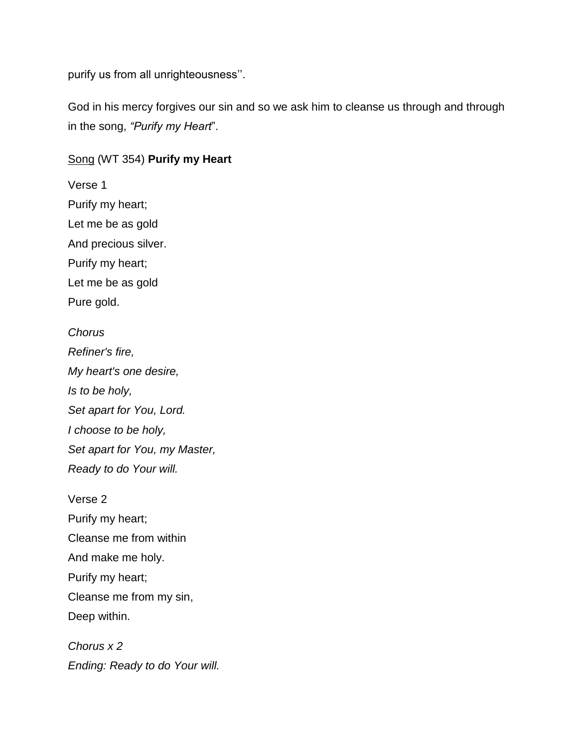purify us from all unrighteousness''.

God in his mercy forgives our sin and so we ask him to cleanse us through and through in the song, *"Purify my Heart*".

## Song (WT 354) **Purify my Heart**

Verse 1 Purify my heart; Let me be as gold And precious silver. Purify my heart; Let me be as gold Pure gold.

*Chorus Refiner's fire, My heart's one desire, Is to be holy, Set apart for You, Lord. I choose to be holy, Set apart for You, my Master, Ready to do Your will.*

Verse 2

Purify my heart;

Cleanse me from within

And make me holy.

Purify my heart;

Cleanse me from my sin,

Deep within.

*Chorus x 2 Ending: Ready to do Your will.*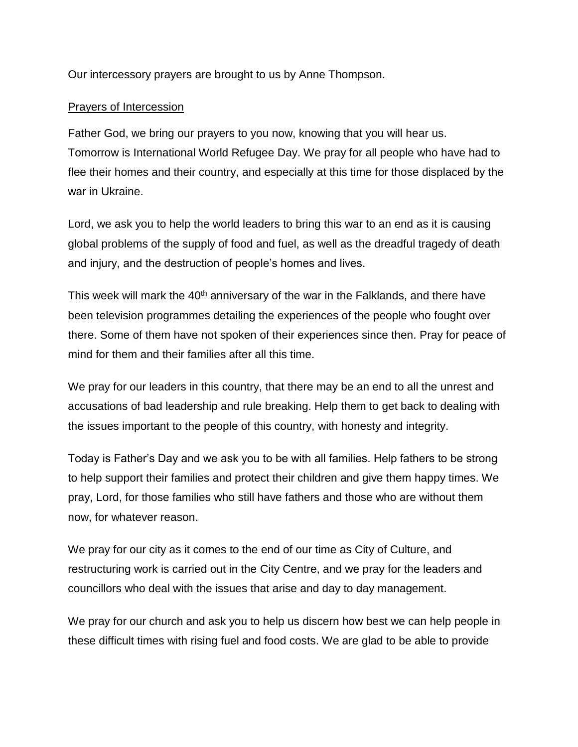Our intercessory prayers are brought to us by Anne Thompson.

## Prayers of Intercession

Father God, we bring our prayers to you now, knowing that you will hear us. Tomorrow is International World Refugee Day. We pray for all people who have had to flee their homes and their country, and especially at this time for those displaced by the war in Ukraine.

Lord, we ask you to help the world leaders to bring this war to an end as it is causing global problems of the supply of food and fuel, as well as the dreadful tragedy of death and injury, and the destruction of people's homes and lives.

This week will mark the 40<sup>th</sup> anniversary of the war in the Falklands, and there have been television programmes detailing the experiences of the people who fought over there. Some of them have not spoken of their experiences since then. Pray for peace of mind for them and their families after all this time.

We pray for our leaders in this country, that there may be an end to all the unrest and accusations of bad leadership and rule breaking. Help them to get back to dealing with the issues important to the people of this country, with honesty and integrity.

Today is Father's Day and we ask you to be with all families. Help fathers to be strong to help support their families and protect their children and give them happy times. We pray, Lord, for those families who still have fathers and those who are without them now, for whatever reason.

We pray for our city as it comes to the end of our time as City of Culture, and restructuring work is carried out in the City Centre, and we pray for the leaders and councillors who deal with the issues that arise and day to day management.

We pray for our church and ask you to help us discern how best we can help people in these difficult times with rising fuel and food costs. We are glad to be able to provide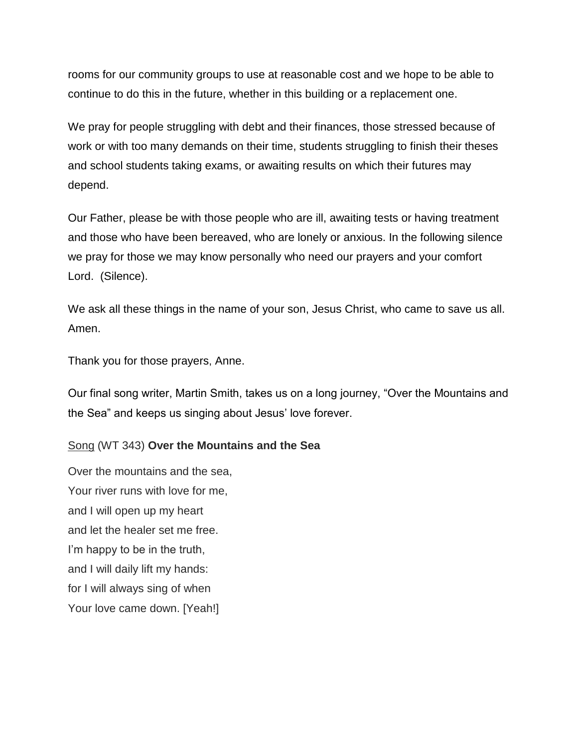rooms for our community groups to use at reasonable cost and we hope to be able to continue to do this in the future, whether in this building or a replacement one.

We pray for people struggling with debt and their finances, those stressed because of work or with too many demands on their time, students struggling to finish their theses and school students taking exams, or awaiting results on which their futures may depend.

Our Father, please be with those people who are ill, awaiting tests or having treatment and those who have been bereaved, who are lonely or anxious. In the following silence we pray for those we may know personally who need our prayers and your comfort Lord. (Silence).

We ask all these things in the name of your son, Jesus Christ, who came to save us all. Amen.

Thank you for those prayers, Anne.

Our final song writer, Martin Smith, takes us on a long journey, "Over the Mountains and the Sea" and keeps us singing about Jesus' love forever.

### Song (WT 343) **Over the Mountains and the Sea**

Over the mountains and the sea, Your river runs with love for me, and I will open up my heart and let the healer set me free. I'm happy to be in the truth, and I will daily lift my hands: for I will always sing of when Your love came down. [Yeah!]